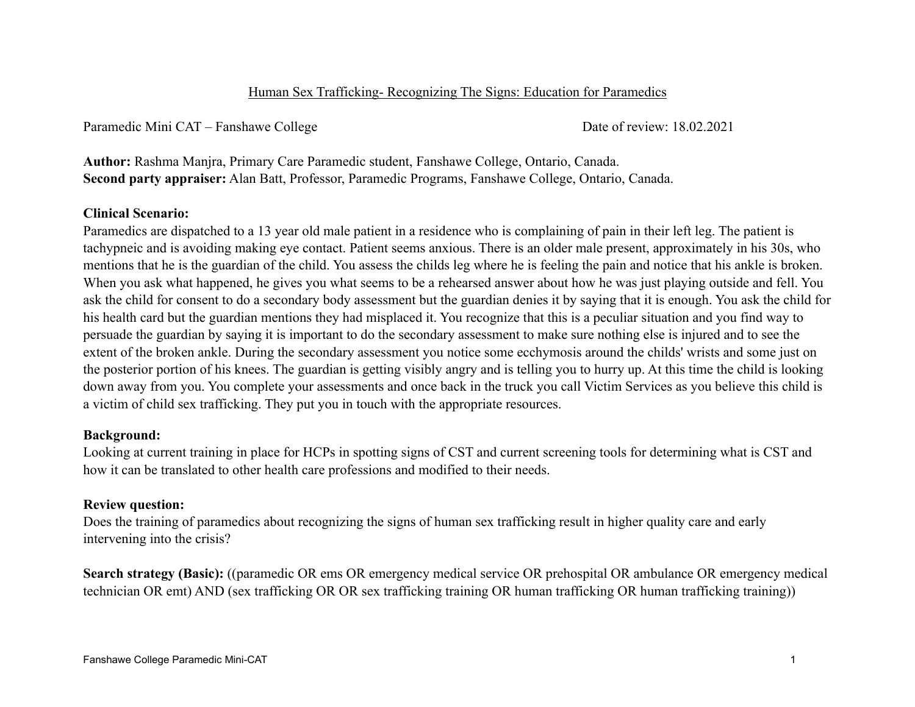## Human Sex Trafficking- Recognizing The Signs: Education for Paramedics

Paramedic Mini CAT – Fanshawe College Date of review: 18.02.2021

**Author:** Rashma Manjra, Primary Care Paramedic student, Fanshawe College, Ontario, Canada. **Second party appraiser:** Alan Batt, Professor, Paramedic Programs, Fanshawe College, Ontario, Canada.

# **Clinical Scenario:**

Paramedics are dispatched to a 13 year old male patient in a residence who is complaining of pain in their left leg. The patient is tachypneic and is avoiding making eye contact. Patient seems anxious. There is an older male present, approximately in his 30s, who mentions that he is the guardian of the child. You assess the childs leg where he is feeling the pain and notice that his ankle is broken. When you ask what happened, he gives you what seems to be a rehearsed answer about how he was just playing outside and fell. You ask the child for consent to do a secondary body assessment but the guardian denies it by saying that it is enough. You ask the child for his health card but the guardian mentions they had misplaced it. You recognize that this is a peculiar situation and you find way to persuade the guardian by saying it is important to do the secondary assessment to make sure nothing else is injured and to see the extent of the broken ankle. During the secondary assessment you notice some ecchymosis around the childs' wrists and some just on the posterior portion of his knees. The guardian is getting visibly angry and is telling you to hurry up. At this time the child is looking down away from you. You complete your assessments and once back in the truck you call Victim Services as you believe this child is a victim of child sex trafficking. They put you in touch with the appropriate resources.

## **Background:**

Looking at current training in place for HCPs in spotting signs of CST and current screening tools for determining what is CST and how it can be translated to other health care professions and modified to their needs.

## **Review question:**

Does the training of paramedics about recognizing the signs of human sex trafficking result in higher quality care and early intervening into the crisis?

**Search strategy (Basic):** ((paramedic OR ems OR emergency medical service OR prehospital OR ambulance OR emergency medical technician OR emt) AND (sex trafficking OR OR sex trafficking training OR human trafficking OR human trafficking training))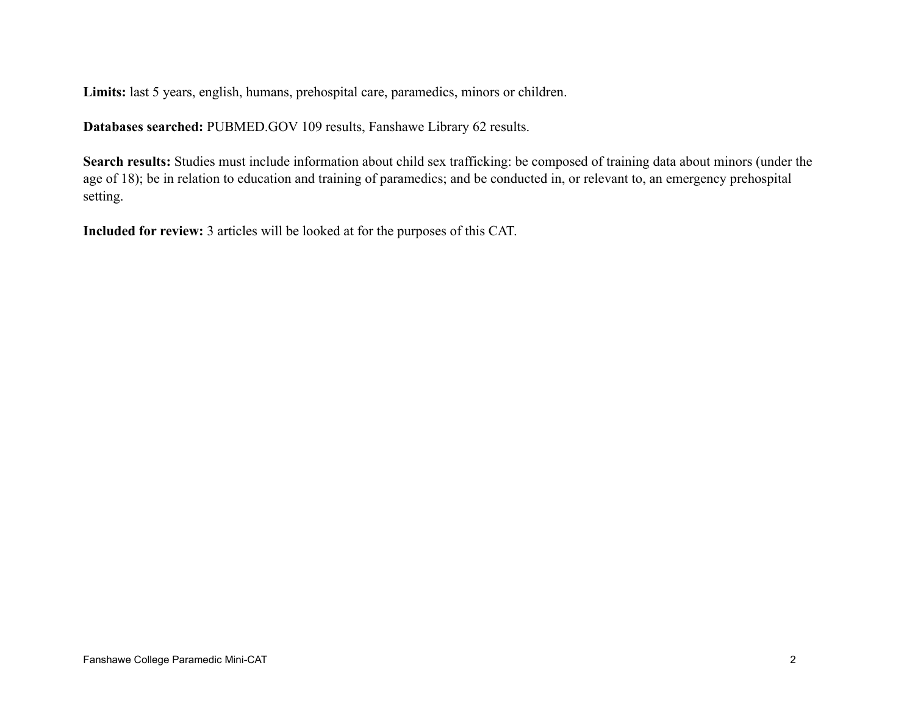**Limits:** last 5 years, english, humans, prehospital care, paramedics, minors or children.

**Databases searched:** [PUBMED.GOV](http://PUBMED.GOV) 109 results, Fanshawe Library 62 results.

**Search results:** Studies must include information about child sex trafficking: be composed of training data about minors (under the age of 18); be in relation to education and training of paramedics; and be conducted in, or relevant to, an emergency prehospital setting.

**Included for review:** 3 articles will be looked at for the purposes of this CAT.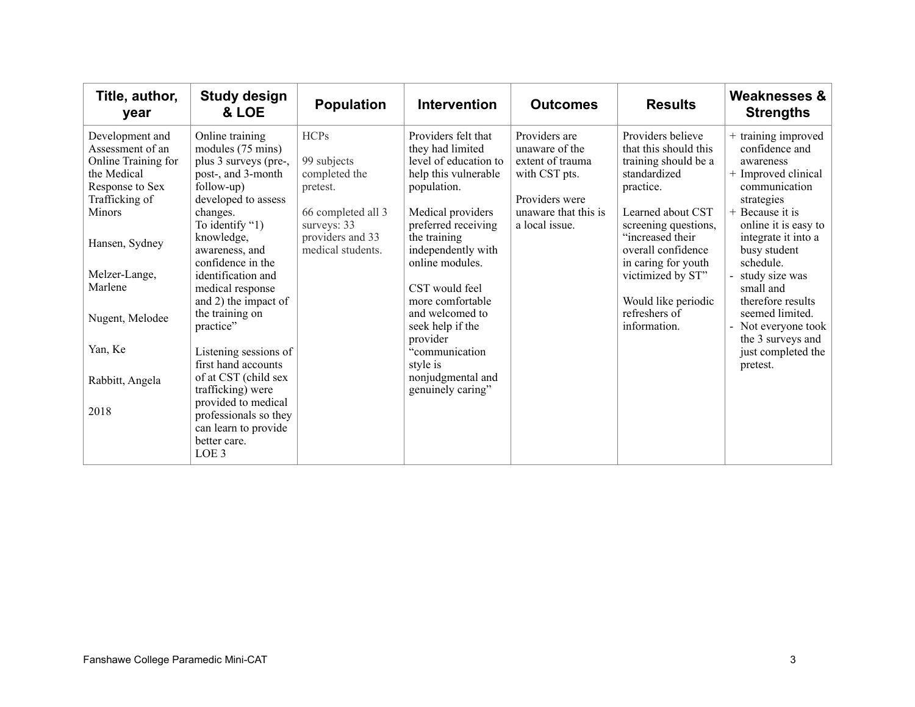| Title, author,<br>year                                                                                                                                                                                                                 | <b>Study design</b><br>& LOE                                                                                                                                                                                                                                                                                                                                                                                                                                                        | <b>Population</b>                                                                                                                     | <b>Intervention</b>                                                                                                                                                                                                                                                                                                                                                           | <b>Outcomes</b>                                                                                                                  | <b>Results</b>                                                                                                                                                                                                                                                                             | <b>Weaknesses &amp;</b><br><b>Strengths</b>                                                                                                                                                                                                                                                                                                                  |
|----------------------------------------------------------------------------------------------------------------------------------------------------------------------------------------------------------------------------------------|-------------------------------------------------------------------------------------------------------------------------------------------------------------------------------------------------------------------------------------------------------------------------------------------------------------------------------------------------------------------------------------------------------------------------------------------------------------------------------------|---------------------------------------------------------------------------------------------------------------------------------------|-------------------------------------------------------------------------------------------------------------------------------------------------------------------------------------------------------------------------------------------------------------------------------------------------------------------------------------------------------------------------------|----------------------------------------------------------------------------------------------------------------------------------|--------------------------------------------------------------------------------------------------------------------------------------------------------------------------------------------------------------------------------------------------------------------------------------------|--------------------------------------------------------------------------------------------------------------------------------------------------------------------------------------------------------------------------------------------------------------------------------------------------------------------------------------------------------------|
| Development and<br>Assessment of an<br>Online Training for<br>the Medical<br>Response to Sex<br>Trafficking of<br><b>Minors</b><br>Hansen, Sydney<br>Melzer-Lange,<br>Marlene<br>Nugent, Melodee<br>Yan, Ke<br>Rabbitt, Angela<br>2018 | Online training<br>modules (75 mins)<br>plus 3 surveys (pre-,<br>post-, and 3-month<br>follow-up)<br>developed to assess<br>changes.<br>To identify "1)<br>knowledge,<br>awareness, and<br>confidence in the<br>identification and<br>medical response<br>and 2) the impact of<br>the training on<br>practice"<br>Listening sessions of<br>first hand accounts<br>of at CST (child sex<br>trafficking) were<br>provided to medical<br>professionals so they<br>can learn to provide | <b>HCPs</b><br>99 subjects<br>completed the<br>pretest.<br>66 completed all 3<br>surveys: 33<br>providers and 33<br>medical students. | Providers felt that<br>they had limited<br>level of education to<br>help this vulnerable<br>population.<br>Medical providers<br>preferred receiving<br>the training<br>independently with<br>online modules.<br>CST would feel<br>more comfortable<br>and welcomed to<br>seek help if the<br>provider<br>"communication<br>style is<br>nonjudgmental and<br>genuinely caring" | Providers are<br>unaware of the<br>extent of trauma<br>with CST pts.<br>Providers were<br>unaware that this is<br>a local issue. | Providers believe<br>that this should this<br>training should be a<br>standardized<br>practice.<br>Learned about CST<br>screening questions,<br>"increased their<br>overall confidence<br>in caring for youth<br>victimized by ST"<br>Would like periodic<br>refreshers of<br>information. | + training improved<br>confidence and<br>awareness<br>+ Improved clinical<br>communication<br>strategies<br>+ Because it is<br>online it is easy to<br>integrate it into a<br>busy student<br>schedule.<br>study size was<br>small and<br>therefore results<br>seemed limited.<br>- Not everyone took<br>the 3 surveys and<br>just completed the<br>pretest. |
|                                                                                                                                                                                                                                        | better care.<br>LOE <sub>3</sub>                                                                                                                                                                                                                                                                                                                                                                                                                                                    |                                                                                                                                       |                                                                                                                                                                                                                                                                                                                                                                               |                                                                                                                                  |                                                                                                                                                                                                                                                                                            |                                                                                                                                                                                                                                                                                                                                                              |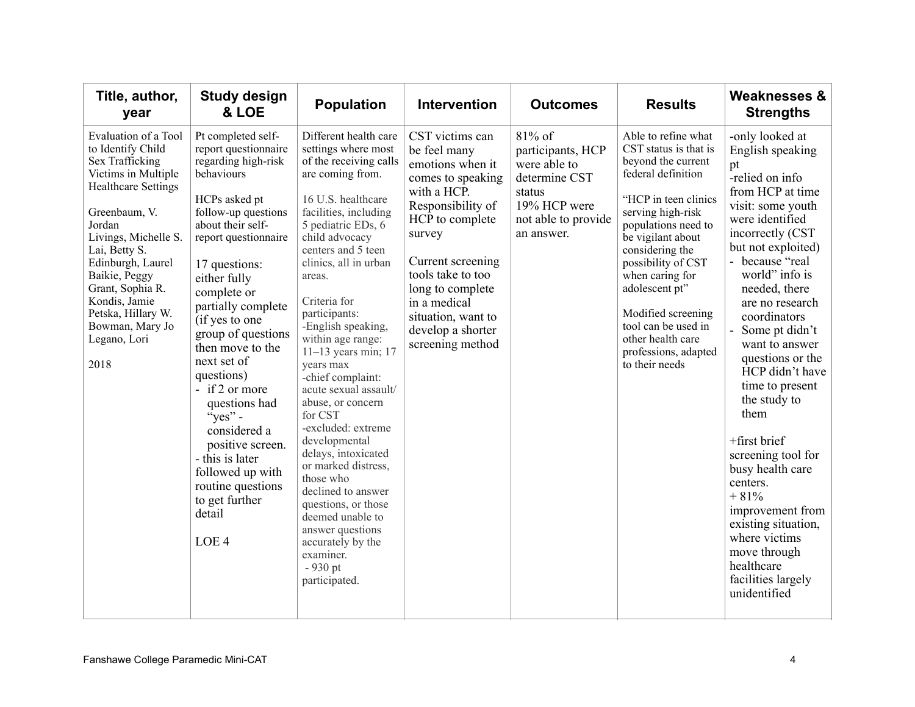| Title, author,<br>year                                                                                                                                                                                                                                                                                                            | <b>Study design</b><br>& LOE                                                                                                                                                                                                                                                                                                                                                                                                                                                                                                                   | <b>Population</b>                                                                                                                                                                                                                                                                                                                                                                                                                                                                                                                                                                                                                                                                                 | <b>Intervention</b>                                                                                                                                                                                                                                                                    | <b>Outcomes</b>                                                                                                             | <b>Results</b>                                                                                                                                                                                                                                                                                                                                                              | <b>Weaknesses &amp;</b><br><b>Strengths</b>                                                                                                                                                                                                                                                                                                                                                                                                                                                                                                                                                        |
|-----------------------------------------------------------------------------------------------------------------------------------------------------------------------------------------------------------------------------------------------------------------------------------------------------------------------------------|------------------------------------------------------------------------------------------------------------------------------------------------------------------------------------------------------------------------------------------------------------------------------------------------------------------------------------------------------------------------------------------------------------------------------------------------------------------------------------------------------------------------------------------------|---------------------------------------------------------------------------------------------------------------------------------------------------------------------------------------------------------------------------------------------------------------------------------------------------------------------------------------------------------------------------------------------------------------------------------------------------------------------------------------------------------------------------------------------------------------------------------------------------------------------------------------------------------------------------------------------------|----------------------------------------------------------------------------------------------------------------------------------------------------------------------------------------------------------------------------------------------------------------------------------------|-----------------------------------------------------------------------------------------------------------------------------|-----------------------------------------------------------------------------------------------------------------------------------------------------------------------------------------------------------------------------------------------------------------------------------------------------------------------------------------------------------------------------|----------------------------------------------------------------------------------------------------------------------------------------------------------------------------------------------------------------------------------------------------------------------------------------------------------------------------------------------------------------------------------------------------------------------------------------------------------------------------------------------------------------------------------------------------------------------------------------------------|
| Evaluation of a Tool<br>to Identify Child<br>Sex Trafficking<br>Victims in Multiple<br><b>Healthcare Settings</b><br>Greenbaum, V.<br>Jordan<br>Livings, Michelle S.<br>Lai, Betty S.<br>Edinburgh, Laurel<br>Baikie, Peggy<br>Grant, Sophia R.<br>Kondis, Jamie<br>Petska, Hillary W.<br>Bowman, Mary Jo<br>Legano, Lori<br>2018 | Pt completed self-<br>report questionnaire<br>regarding high-risk<br>behaviours<br>HCPs asked pt<br>follow-up questions<br>about their self-<br>report questionnaire<br>17 questions:<br>either fully<br>complete or<br>partially complete<br>(if yes to one<br>group of questions<br>then move to the<br>next set of<br>questions)<br>- if 2 or more<br>questions had<br>$\sqrt{\csc}$ yes" -<br>considered a<br>positive screen.<br>- this is later<br>followed up with<br>routine questions<br>to get further<br>detail<br>LOE <sub>4</sub> | Different health care<br>settings where most<br>of the receiving calls<br>are coming from.<br>16 U.S. healthcare<br>facilities, including<br>5 pediatric EDs, 6<br>child advocacy<br>centers and 5 teen<br>clinics, all in urban<br>areas.<br>Criteria for<br>participants:<br>-English speaking,<br>within age range:<br>$11-13$ years min; 17<br>years max<br>-chief complaint:<br>acute sexual assault/<br>abuse, or concern<br>for CST<br>-excluded: extreme<br>developmental<br>delays, intoxicated<br>or marked distress,<br>those who<br>declined to answer<br>questions, or those<br>deemed unable to<br>answer questions<br>accurately by the<br>examiner.<br>$-930$ pt<br>participated. | CST victims can<br>be feel many<br>emotions when it<br>comes to speaking<br>with a HCP.<br>Responsibility of<br>HCP to complete<br>survey<br>Current screening<br>tools take to too<br>long to complete<br>in a medical<br>situation, want to<br>develop a shorter<br>screening method | 81% of<br>participants, HCP<br>were able to<br>determine CST<br>status<br>19% HCP were<br>not able to provide<br>an answer. | Able to refine what<br>CST status is that is<br>beyond the current<br>federal definition<br>"HCP in teen clinics<br>serving high-risk<br>populations need to<br>be vigilant about<br>considering the<br>possibility of CST<br>when caring for<br>adolescent pt"<br>Modified screening<br>tool can be used in<br>other health care<br>professions, adapted<br>to their needs | -only looked at<br>English speaking<br>pt<br>-relied on info<br>from HCP at time<br>visit: some youth<br>were identified<br>incorrectly (CST)<br>but not exploited)<br>- because "real<br>world" info is<br>needed, there<br>are no research<br>coordinators<br>Some pt didn't<br>want to answer<br>questions or the<br>HCP didn't have<br>time to present<br>the study to<br>them<br>+first brief<br>screening tool for<br>busy health care<br>centers.<br>$+81%$<br>improvement from<br>existing situation,<br>where victims<br>move through<br>healthcare<br>facilities largely<br>unidentified |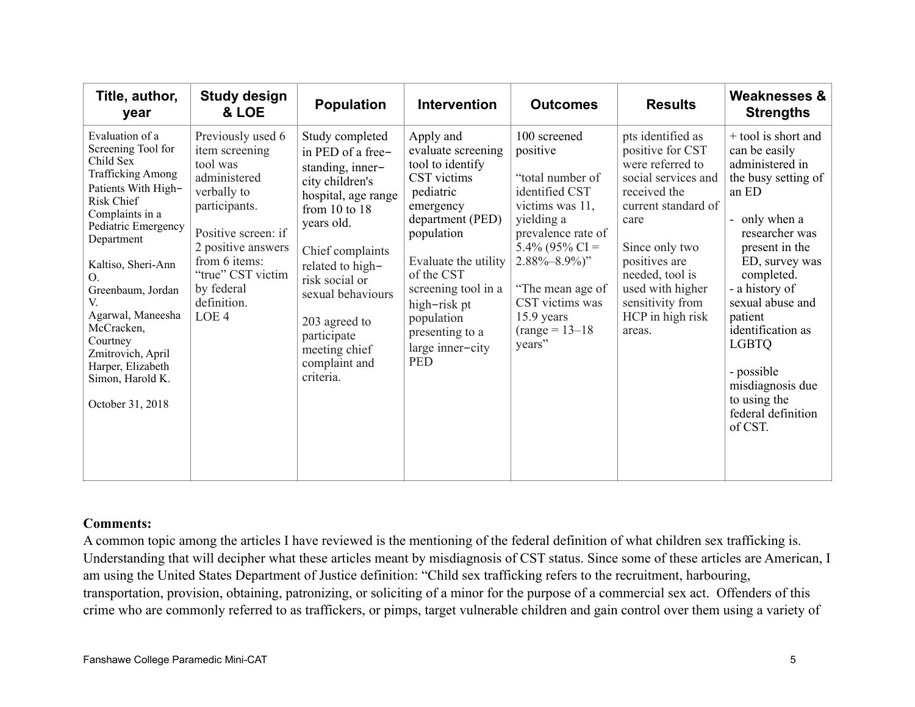| Title, author,<br>year                                                                                                                                                                                                                                                                                                                                                    | <b>Study design</b><br>& LOE                                                                                                                                                                                             | <b>Population</b>                                                                                                                                                                                                                                                                                   | <b>Intervention</b>                                                                                                                                                                                                                                                            | <b>Outcomes</b>                                                                                                                                                                                                                                         | <b>Results</b>                                                                                                                                                                                                                                              | <b>Weaknesses &amp;</b><br><b>Strengths</b>                                                                                                                                                                                                                                                                                                           |
|---------------------------------------------------------------------------------------------------------------------------------------------------------------------------------------------------------------------------------------------------------------------------------------------------------------------------------------------------------------------------|--------------------------------------------------------------------------------------------------------------------------------------------------------------------------------------------------------------------------|-----------------------------------------------------------------------------------------------------------------------------------------------------------------------------------------------------------------------------------------------------------------------------------------------------|--------------------------------------------------------------------------------------------------------------------------------------------------------------------------------------------------------------------------------------------------------------------------------|---------------------------------------------------------------------------------------------------------------------------------------------------------------------------------------------------------------------------------------------------------|-------------------------------------------------------------------------------------------------------------------------------------------------------------------------------------------------------------------------------------------------------------|-------------------------------------------------------------------------------------------------------------------------------------------------------------------------------------------------------------------------------------------------------------------------------------------------------------------------------------------------------|
| Evaluation of a<br>Screening Tool for<br>Child Sex<br><b>Trafficking Among</b><br>Patients With High-<br>Risk Chief<br>Complaints in a<br>Pediatric Emergency<br>Department<br>Kaltiso, Sheri-Ann<br>$\Omega$<br>Greenbaum, Jordan<br>V.<br>Agarwal, Maneesha<br>McCracken,<br>Courtney<br>Zmitrovich, April<br>Harper, Elizabeth<br>Simon, Harold K.<br>October 31, 2018 | Previously used 6<br>item screening<br>tool was<br>administered<br>verbally to<br>participants.<br>Positive screen: if<br>2 positive answers<br>from 6 items:<br>"true" CST victim<br>by federal<br>definition.<br>LOE 4 | Study completed<br>in PED of a free-<br>standing, inner-<br>city children's<br>hospital, age range<br>from $10$ to $18$<br>years old.<br>Chief complaints<br>related to high-<br>risk social or<br>sexual behaviours<br>203 agreed to<br>participate<br>meeting chief<br>complaint and<br>criteria. | Apply and<br>evaluate screening<br>tool to identify<br>CST victims<br>pediatric<br>emergency<br>department (PED)<br>population<br>Evaluate the utility<br>of the CST<br>screening tool in a<br>high-risk pt<br>population<br>presenting to a<br>large inner-city<br><b>PED</b> | 100 screened<br>positive<br>"total number of<br>identified CST<br>victims was 11,<br>yielding a<br>prevalence rate of<br>$5.4\%$ (95% CI =<br>$2.88\% - 8.9\%$ "<br>"The mean age of<br>CST victims was<br>$15.9$ years<br>$(range = 13 - 18$<br>years" | pts identified as<br>positive for CST<br>were referred to<br>social services and<br>received the<br>current standard of<br>care<br>Since only two<br>positives are<br>needed, tool is<br>used with higher<br>sensitivity from<br>HCP in high risk<br>areas. | + tool is short and<br>can be easily<br>administered in<br>the busy setting of<br>an ED<br>- only when a<br>researcher was<br>present in the<br>ED, survey was<br>completed.<br>- a history of<br>sexual abuse and<br>patient<br>identification as<br><b>LGBTQ</b><br>- possible<br>misdiagnosis due<br>to using the<br>federal definition<br>of CST. |

#### **Comments:**

A common topic among the articles I have reviewed is the mentioning of the federal definition of what children sex trafficking is. Understanding that will decipher what these articles meant by misdiagnosis of CST status. Since some of these articles are American, I am using the United States Department of Justice definition: "Child sex trafficking refers to the recruitment, harbouring, transportation, provision, obtaining, patronizing, or soliciting of a minor for the purpose of a commercial sex act. Offenders of this crime who are commonly referred to as traffickers, or pimps, target vulnerable children and gain control over them using a variety of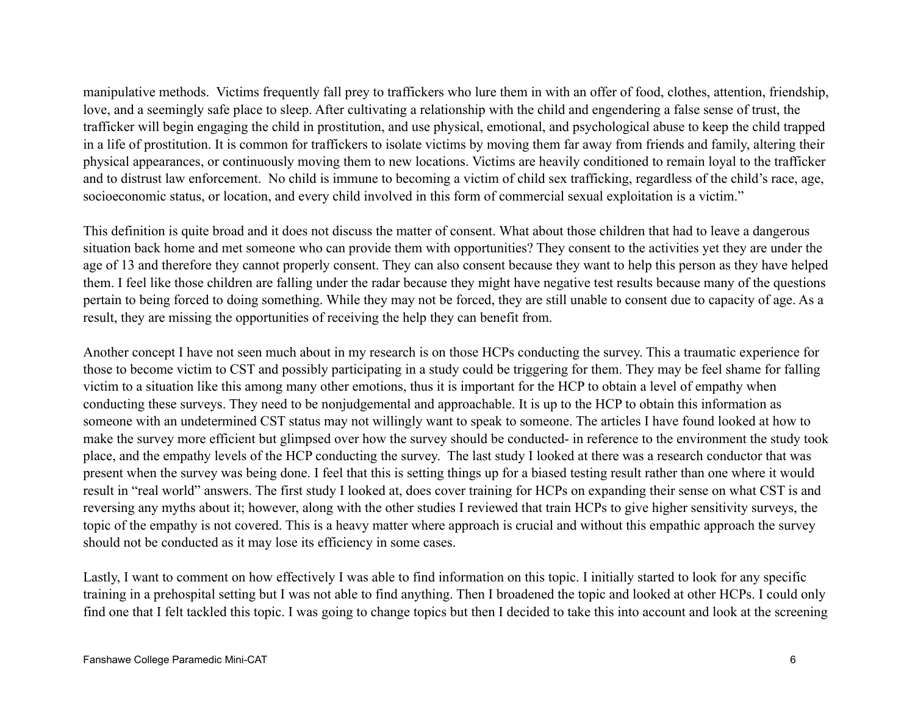manipulative methods. Victims frequently fall prey to traffickers who lure them in with an offer of food, clothes, attention, friendship, love, and a seemingly safe place to sleep. After cultivating a relationship with the child and engendering a false sense of trust, the trafficker will begin engaging the child in prostitution, and use physical, emotional, and psychological abuse to keep the child trapped in a life of prostitution. It is common for traffickers to isolate victims by moving them far away from friends and family, altering their physical appearances, or continuously moving them to new locations. Victims are heavily conditioned to remain loyal to the trafficker and to distrust law enforcement. No child is immune to becoming a victim of child sex trafficking, regardless of the child's race, age, socioeconomic status, or location, and every child involved in this form of commercial sexual exploitation is a victim."

This definition is quite broad and it does not discuss the matter of consent. What about those children that had to leave a dangerous situation back home and met someone who can provide them with opportunities? They consent to the activities yet they are under the age of 13 and therefore they cannot properly consent. They can also consent because they want to help this person as they have helped them. I feel like those children are falling under the radar because they might have negative test results because many of the questions pertain to being forced to doing something. While they may not be forced, they are still unable to consent due to capacity of age. As a result, they are missing the opportunities of receiving the help they can benefit from.

Another concept I have not seen much about in my research is on those HCPs conducting the survey. This a traumatic experience for those to become victim to CST and possibly participating in a study could be triggering for them. They may be feel shame for falling victim to a situation like this among many other emotions, thus it is important for the HCP to obtain a level of empathy when conducting these surveys. They need to be nonjudgemental and approachable. It is up to the HCP to obtain this information as someone with an undetermined CST status may not willingly want to speak to someone. The articles I have found looked at how to make the survey more efficient but glimpsed over how the survey should be conducted- in reference to the environment the study took place, and the empathy levels of the HCP conducting the survey. The last study I looked at there was a research conductor that was present when the survey was being done. I feel that this is setting things up for a biased testing result rather than one where it would result in "real world" answers. The first study I looked at, does cover training for HCPs on expanding their sense on what CST is and reversing any myths about it; however, along with the other studies I reviewed that train HCPs to give higher sensitivity surveys, the topic of the empathy is not covered. This is a heavy matter where approach is crucial and without this empathic approach the survey should not be conducted as it may lose its efficiency in some cases.

Lastly, I want to comment on how effectively I was able to find information on this topic. I initially started to look for any specific training in a prehospital setting but I was not able to find anything. Then I broadened the topic and looked at other HCPs. I could only find one that I felt tackled this topic. I was going to change topics but then I decided to take this into account and look at the screening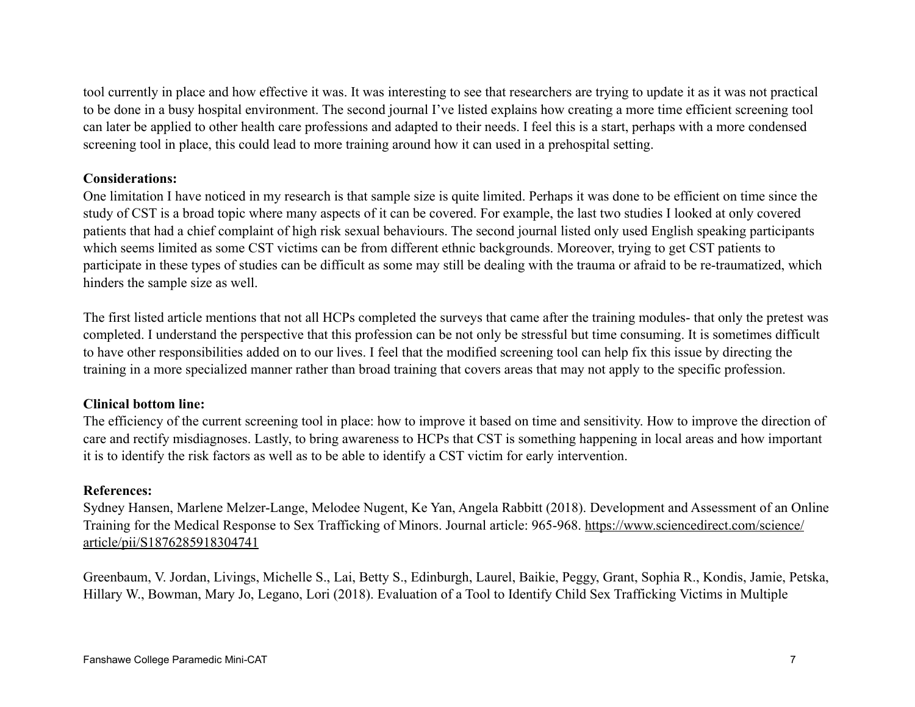tool currently in place and how effective it was. It was interesting to see that researchers are trying to update it as it was not practical to be done in a busy hospital environment. The second journal I've listed explains how creating a more time efficient screening tool can later be applied to other health care professions and adapted to their needs. I feel this is a start, perhaps with a more condensed screening tool in place, this could lead to more training around how it can used in a prehospital setting.

## **Considerations:**

One limitation I have noticed in my research is that sample size is quite limited. Perhaps it was done to be efficient on time since the study of CST is a broad topic where many aspects of it can be covered. For example, the last two studies I looked at only covered patients that had a chief complaint of high risk sexual behaviours. The second journal listed only used English speaking participants which seems limited as some CST victims can be from different ethnic backgrounds. Moreover, trying to get CST patients to participate in these types of studies can be difficult as some may still be dealing with the trauma or afraid to be re-traumatized, which hinders the sample size as well.

The first listed article mentions that not all HCPs completed the surveys that came after the training modules- that only the pretest was completed. I understand the perspective that this profession can be not only be stressful but time consuming. It is sometimes difficult to have other responsibilities added on to our lives. I feel that the modified screening tool can help fix this issue by directing the training in a more specialized manner rather than broad training that covers areas that may not apply to the specific profession.

## **Clinical bottom line:**

The efficiency of the current screening tool in place: how to improve it based on time and sensitivity. How to improve the direction of care and rectify misdiagnoses. Lastly, to bring awareness to HCPs that CST is something happening in local areas and how important it is to identify the risk factors as well as to be able to identify a CST victim for early intervention.

## **References:**

Sydney Hansen, Marlene Melzer-Lange, Melodee Nugent, Ke Yan, Angela Rabbitt (2018). Development and Assessment of an Online Training for the Medical Response to Sex Trafficking of Minors. Journal article: 965-968. https://www.sciencedirect.com/science/ article/pii/S1876285918304741

Greenbaum, V. Jordan, Livings, Michelle S., Lai, Betty S., Edinburgh, Laurel, Baikie, Peggy, Grant, Sophia R., Kondis, Jamie, Petska, Hillary W., Bowman, Mary Jo, Legano, Lori (2018). Evaluation of a Tool to Identify Child Sex Trafficking Victims in Multiple